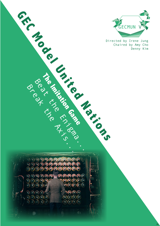

Directed by Irene Jung Chaired by Amy Cho

w

Beat the Enight of Contractor  $\bigcap_{i=1}^{\infty}$  $\sqrt{1}$  $\epsilon^*(c)(c)(c)$  $\sqrt{2}$ **TAAA**  $\bigcirc$  (e)(e)(e)  $\widehat{\phantom{a}}$  $\rightarrow$ 

**The Imitation Game**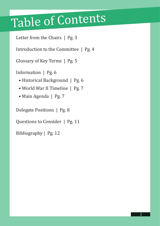## Table of Contents

Letter from the Chairs | Pg. 3

Introduction to the Committee | Pg. 4

Glossary of Key Terms | Pg. 5

Information | Pg. 6

- Historical Background | Pg. 6
- World War II Timeline | Pg. 7
- Main Agenda | Pg. 7

Delegate Positions | Pg. 8

Questions to Consider | Pg. 11

Bibliography | Pg. 12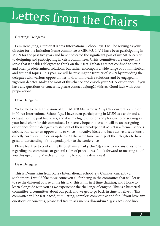# Letters from the Chairs

## Greetings Delegates,

I am Irene Jung, a junior at Korea International School Jeju. I will be serving as your director for the Imitation Game committee at GECMUN V. I have been participating in MUN for the past five years and have dedicated the significant part of my MUN career to designing and participating in crisis committees. Crisis committees are unique in a sense that it enables delegates to think on their feet. Debates are not confined to static and often predetermined solutions, but rather encompass a wide range of both historical and fictional topics. This year, we will be pushing the frontier of MUN by providing the delegates with various opportunities to draft innovative solutions and be engaged in vigorous debates. Make the most of this chance and enrich your MUN experience! If you have any questions or concerns, please contact dejung20@kis.ac. Good luck with your preparation!

## Dear Delegates,

Welcome to the fifth session of GECMUN! My name is Amy Cho, currently a junior in Korea International School Jeju. I have been participating in MUN as a chair and a delegate for the past five years, and it is my highest honor and pleasure to be serving as your head chair for this committee. I sincerely hope this session will be an intriguing experience for the delegates to step out of their stereotype that MUN is a formal, serious debate, but rather an opportunity to voice innovative ideas and have active discussions to directly correspond to crisis updates. At the same time, we expect the delegates to have great understanding of the agenda prior to the conference.

Please feel free to contact me through my email yjcho20@kis.ac to ask any questions regarding the committee or general rules of procedures. I look forward to meeting all of you this upcoming March and listening to your creative ideas!

## Dear Delegates,

This is Denny Kim from Korea International School Jeju Campus, currently a sophomore. I would like to welcome you all for being in the committee that will let us to see the different course of the history. This is my first time chairing, and I hope to learn alongside with you as we experience the challenge of enigma. This is a historical committee, a committee about our past, and we get to go back in time to relive it. This committee will be fast-paced, stimulating, complex, competitive and fun. If you have any questions or concerns, please feel free to ask me via dhwankim21@kis.ac! Good luck!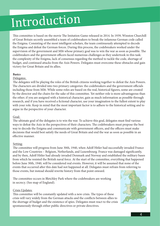## Introduction

This committee is based on the movie The Imitation Game released in 2014. In 1939, Winston Churchill of Great Britain secretly assembled a team of codebreakers to break the infamous German code called the Enigma. Consisting of the most intelligent scholars, the team continuously attempted to decode the Enigma and defeat the German forces. During this process, the codebreakers worked under the supervision of the government and MI6 whose primary goal was to win the war as soon as possible. The codebreakers and the government officers faced numerous challenges as they undertook in this task: the complexity of the Enigma, lack of consensus regarding the method to tackle the code, shortage of budget, and continued attacks from the Axis Powers. Delegates must overcome these obstacles and gain victory for Great Britain and its allies.

## **Basics**

## Delegates:

The delegates will be playing the roles of the British citizens working together to defeat the Axis Powers. The characters are divided into two primary categories: the codebreakers and the government officials including those from MI6. While some roles are based on the real, historical figures, some are created by the director and the chairs for the sake of this committee. Yet neither role is more advantageous than the other; if you are assigned with a historical character, gain as much information as possible through research, and if you have received a fictional character, use your imagination to the fullest extent to play with your role. Keep in mind that the most important factor is to adhere to the historical setting and to argue in the perspective of your character.

## Goal:

The ultimate goal of the delegates is to win the war. To achieve this goal, delegates must find various ways to defeat the Axis in the perspectives of their characters. The codebreakers must propose the best way to decode the Enigma and communicate with government officers, and the officers must make decisions that would best satisfy the needs of Great Britain and end the war as soon as possible in an effective manner.

## Setting:

The committee will progress from June 30th, 1940, when Adolf Hitler had successfully invaded France and the Low Countries – Belgium, Netherlands, and Luxembourg. France was damaged significantly, and by then, Adolf Hitler had already invaded Denmark and Norway and established the military bases from which he resisted the British naval force. At the start of the committee, everything that happened before June 30th, 1940, will be considered real events. However, it will be assumed that none of the events that occurred after this date had not happened at all. Delegates must refrain from referring to those events, but instead should rewrite history from that point onward.

The committee occurs in Bletchley Park where the codebreakers are working in secrecy. (See map of England).

## Crisis Updates:

This committee will be constantly updated with a new crisis. The types of these crisis will vary widely from the German attacks and the conflicts between allies to the shortage of budget and the existence of spies. Delegates must react to the crisis spontaneously through either public directives or private directives.

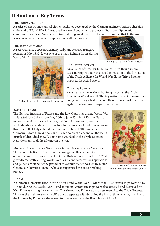## **Definition of Key Terms**

## THE ENIGMA MACHINE

A series of electro-mechanical cipher machines developed by the German engineer Arthur Scherbius at the end of World War I. It was used by several countries to protect military and diplomatic communication. Nazi Germany utilizes it during World War II. The German model that Hitler used

was known to be the most complex among all the models.

## The Triple Alliance

A secret alliance between Germany, Italy, and Austria-Hungary formed in May 1882. It was one of the main fighting forces during

World War I.



Poster of the Triple Entent made in Russia.

## The Triple Entente

An alliance of Great Britain, France Third Republic, and Russian Empire that was created in reaction to the formation of the Triple Alliance. In World War II, the Triple Entente opposed the Axis Powers.

## The Axis Powers

An alliance of the nations that fought against the Triple Entente in World War II. The key nations were Germany, Italy, and Japan. They allied to secure their expansionist interests against the Western European countries.

## BATTLE OF FRANCE

The German invasion of France and the Low Countries during World War II. It lasted for 46 days from May 10th to June 25th in 1940. The German forces successfully invaded France, Belgium, Luxembourg, and the Netherlands, expanding their territory to the Western Front. It was during this period that Italy entered the war—on 10 June 1940—and aided Germany. More than 90 thousand French soldiers died, and 68 thousand British soldiers died as well. This battle was fatal to the Triple Entente: Nazi Germany took the advance in the war.

Military Intelligence Section 6 (Secret Intelligence Service) The Secret Intelligence Service or the foreign intelligence service operating under the government of Great Britain. Formed in July 1909, it grew dramatically during World War I as it conducted various operations and gained a victory. At the period of this committee, it was led by Major General Sir Stewart Menzies, who also supervised the code-breaking project.



The poster of the Axis Powers. The faces of the leaders are shown.

## $U$ -boat

A German submarine used in World War I and World War II. More than 1600 British ships were hit by U-boat during the World War II, and about 500 American ships were also attacked and destroyed by Nazi U-boats during the same time. This shows how U-boat was so detrimental to the Triple Entente. This was the main reason why UK was so desperate with decoding the instructions of Kriegsmarine to the U-boats by Enigma – the reason for the existence of the Bletchley Park Hut 8.



The Enigma Machine (BBC History).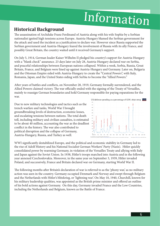## Information

## **Historical Background**

The assassination of Archduke Franz Ferdinand of Austria along with his wife Sophie by a Serbian nationalist ignited high tensions across Europe. Austria-Hungary blamed the Serbian government for the attack and used the incident as a justification to declare war. However since Russia supported the Serbian government and Austria-Hungary feared the involvement of Russia with its ally France, and possibly Great Britain, the country waited until it received Germany's support.

On July 5, 1914, German leader Kaiser Wilhelm II pledged his country's support for Austria-Hungary with a "blank check" assurance. 23 days later on July 28, Austria-Hungary declared war on Serbia, and peaceful relationships between European nations collapsed. Within a week, Serbia, Russia, Great Britain, France, and Belgium were lined up against Austria-Hungary and Germany. Later on, Bulgaria and the Ottoman Empire sided with Austria-Hungary to create the "Central Powers", with Italy, Romania, Japan, and the United States siding with Serbia to become the "Allied Powers."

After years of battles and conflicts, on November 28, 1919, Germany formally surrendered, and the Allied Powers claimed victory. The war officially ended with the signing of the Treaty of Versailles, mainly to reassign German boundaries and hold Germany responsible for paying reparations for the war.

Due to new military technologies and tactics such as the trench warfare and tanks, World War I brought groundbreaking levels of destruction, economic losses, and escalating tensions between nations. The total death toll, including military and civilian casualties, is estimated to be about 40 million, accounting the war as the deadliest conflict in the history. The war also contributed to political disruption and the collapse of Germany, Austria-Hungary, Russia, and Turkey as well.



WWI significantly destabilized Europe, and the political and economic stability in Germany led to the rise of Adolf History and his National Socialist German Workers' Party (Nazis). Hitler quickly consolidated power by rearming Germany, in violation of the Versailles Treaty and allying with Italy and Japan against the Soviet Union. In 1938, Hitler's troops marched into Austria and in the following year annexed Czechoslovakia. Moreover, in the same year on September 3, 1939, Hitler invaded Poland, and successively, France and Britain declared war on Germany, starting World War II.

The following months after Britain's declaration of war is referred to as the 'phony war,' as no military action was seen in the country. Germany occupied Denmark and Norway and swept through Belgium and the Netherlands with Hitler's blitzkrieg, or 'lightning war'. On May 10, 1940, Churchill, known for his military leadership qualities, was appointed as the British prime minister and offered an outline of his bold actions against Germany. On this day, Germany invaded France and the Low Countries, including the Netherlands and Belgium, known as the Battle of France.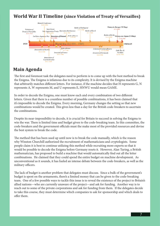## **World War II Timeline (since Violation of Treaty of Versailles)**



## **Main Agenda**

The first and foremost task the delegates need to perform is to come up with the best method to break the Enigma. The Enigma is infamous due to its complexity. It is devised by the Enigma machine that arbitrarily matches different letters. For instance, if the machine decides that H represents G, N represents A, W represents M, and U represents E, HNWU would mean GAME.

In order to decode the Enigma, one must know each and every combination of two different letters. Given that there is a countless number of possible combinations, it has been claimed that it's impossible to decode the Enigma. Every morning, Germany changes the setting so that new combinations would be created. This gives less than a day for the British code-breakers to ascertain the combinations.

Despite its near-impossibility to decode, it is crucial for Britain to succeed in solving the Enigma to win the war. There is limited time and budget given to the code-breaking team. In this committee, the code-breakers and the government officials must the make most of the provided resources and devise the best system to break the code.

The method that has been used up until now is to break the code manually, which is the reason why Winston Churchill authorized the recruitment of mathematicians and cryptologists. Some people claim it is best to continue utilizing this method while recruiting more experts so that it would be possible to decode the Enigma before Germany resets it. However, Alan Turing, a British mathematician, has proposed to build a machine that would automatically find out all the letter combinations. He claimed that they could spend the entire budget on machine development. As unconventional as it sounds, it has fueled an intense debate between the code-breakers, as well as the military officers.

The lack of budget is another problem that delegates must discuss. Since a bulk of the government's budget is spent on the armaments, there's a limited money that can be given to the code-breaking team. One of a few possible ways to tackle this issue is to reveal the existence of the project to Britain's allied nations—who are currently unaware of the project—and ask for funding. Another way is to reach out to some of the private corporations and ask for funding from them. If the delegates decide to take this course, they must determine which companies to ask for sponsorship and which deals to offer them.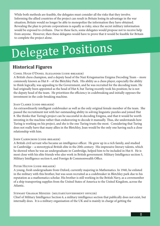While both methods are feasible, the delegates must consider all the risks that they involve. Informing the allied countries of the project can result in Britain losing its advantage in the war situation; Britain would no longer be able to monopolize the information they have obtained. Revealing the plan to private corporations is equally as risky, since the secret military information would be exposed to civilians. Due to these facts, some delegates would propose not to receive help from anyone. However, then these delegates would have to prove that it would be feasible for Britain to complete the project alone.

## Delegate Positions

## **Historical Figures**

## Conel Hugh O'Donel Alexander (code-breaker)

A British chess champion, and a deputy head of the Nazi Kriegsmarine Enigma Decoding Team – more commonly known as Hut 8 – of the Bletchley Park. His ability as a chess player, especially the ability to think logically, was appealing to the Government, and he was recruited for the decoding team. He had originally been appointed as the head of Hut 8, but Turing recently took his position; he is not the deputy head of the team. He prioritizes the efficiency in codebreaking and initially opposes the investment in the code-breaking machine.

## Joan Clarke (code-breaker)

An extraordinarily intelligent codebreaker as well as the only original female member of the team. She passed the recruitment test with her outstanding ability in solving linguistic puzzles and joined Hut 8. She thinks that Turing's project can be successful in decoding Enigma, and that it would be worth investing in the machine rather than endeavoring to decode it manually. Thus, she understands how Turing is working on his project, and she is the one Turing trusts the most. Considering that Turing does not really have that many allies in the Bletchley, Joan would be the only one having such a close relationship with him.

## JOHN CAIRNCROSS (CODE-BREAKER)

A British civil servant who became an intelligence officer. He grew up in a rich family, and studied in Cambridge – a stereotypical British elite in the 20th century. His impressive literary talents, which he showed when he was an undergraduate in Cambridge, helped him to be included in Hut 8. He is most close with his elite friends who also work in British government: Military Intelligence section 5, Military Intelligence section 6, and Foreign & Commonwealth Office.

## PETER HILTON (CODE-BREAKER)

A young, fresh undergraduate from Oxford, currently majoring in Mathematics. In 1940, he enlisted in the military with this brother, but was soon recruited as a codebreaker in Bletchley park due to his reputation as a mathematics scholar. His brother is still working in the British Navy, as a crewmember of a ship transporting supplies from the United States of America to the United Kingdom, across the Atlantic.

## Stewart Graham Menzies (military/government officer)

Chief of Military Intelligence Section 6, a military intelligence section that publically does not exist, but internally does. It is a military organisation of the UK and is mainly in charge of getting the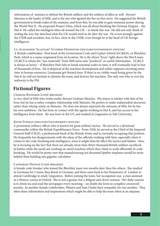information of enemies to defend the British soldiers and the soldiers of allies as well. Stewart Menzies is the leader of MI6, and is the one who ignited the fire on this story. He suggested the British government to break codes of the enemies, and from this, he was able to gain immense power during the World War II. He proposed Project Ultra, which was all about breaking the German Enigma – the Hut 8. He called the intelligent elites all around the UK – to finish this war. He did not only think of ending the war, but sketched what the UK would need to do after the war. He is not strongly against the USSR and socialists, but, in fact, close to the USSR, even though he is the head of UK foreign intelligence.

## Lt. Alexander "Alastair" Guthrie Denniston (military/government officer)

A British codebreaker. First head of the Government Code and Cypher School (GC&GS), or Bletchley Park, which is a name originated from its location. He is the direct "boss" right above the Hut 8 team. GC&CS is where the "raw materials" from MI6 turns into "products" or useful information. GC&CS is always in hurry – if Bletchley Park fails to break essential codes in time, it will eventually lead to loss of thousands of lives. He is skeptical of the machine development and rather supports investing more time in human resources. Lieutenant got limited time. If there is no visible result being given by the Hut 8, he will not hesitate to dismiss the team, and destroy the machine. The only one who is over his authority is the PM.

## **Fictional Figures**

## Charles Richards (code-breaker)

A vice-chief of MI6 who works under Stewart Graham Menzies. His stance is similar with that of his boss, but he has a rather complex relationship with Menzies. He prefers to make independent decisions rather than relying solely on Menzies. He does not always represent the interests of MI6, for he has his own ambition. He has been in contact with the agents working in Hut 8, and has access to the intelligence from them. He was born in the US, and studied at Linguistics at Yale University.

## Keith Furman (military/government officer)

A prominent military officer who is known for great military tactics. He served as a divisional commander within the British Expeditionary Force. From 1926, he served as the Chief of the Imperial General Staff (CIGS), a professional head of the British Army, and is currently occupying this position. He frequently has disagreements with the ideas of the officials working with him, especially when it comes to the code-breaking and intelligence, since it might directly affect the tactics and battles. Also, he is focusing on the fact that there are already more than thirty thousand British soldiers sacrificed in battles while the nerds are working on weird machine which they claim to work efficiently in codebreaking. He would be pretty sure that manufacturing ten thousand Spitfire airplanes would be more helpful than building one gigantic calculator.

## CATHERINE WATSON (CODE-BREAKER)

A female code-breaker who joined the Bletchley team two months later than the others. She studied in Germany for 3 years, thus fluent in German, and then came back to her hometown of London to attend Cambridge to study Linguistics. Before joining the team, her occupation was a class assistant in a History course at Oxford. She is not a genius, but a diligent and clever woman. Her daily routine is to drink tea and read the newspaper every morning – no doubt she loves to complete crossword puzzles. As another female codebreaker, Watson and Joan Clarke have sympathy for one another. They often share information and inspirations which might be able to help the team when at an impasse.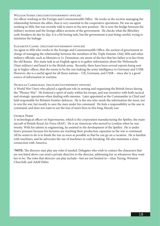## William Sussex (military/government officer)

An officer working in the Foreign and Commonwealth Office. He works in the section managing the relationship between the allies, thus is very essential to the cooperative operations. He was an agent working in MI6, but was recently told to move to his new position. He is now the bridge between the military sections and the foreign affairs sections of the government. He checks what the Bletchley code-breakers do day by day; it is a bit boring task, but the government is just being careful, trying to minimize the leakage.

#### Elizabeth Caines (military/government officer)

An agent in MI6 who works in the Foreign and Commonwealth Office, the section of government in charge of managing the relationship between the members of the Triple Entente. Only MI6 and other military officials, such as Menzies or Lt. Denniston, are aware of the fact that her father is in fact from the old Russia. Her main task as an English agent is to gather information about the Wehrmacht (Nazi military) and hand it to the British army. Recently, there have been several reports being sent up to higher offices, that she seems to be the one leaking the army intelligence to Germany and USSR. However, she is a useful agent for all those nations – UK, Germany, and USSR – since she is a good source of information in wartime.

#### Nickolas Carmichael (military/government officer)

A World War I hero who played a significant role in arming and organizing the British forces during the "Phoney War". He fostered a spirit of unity within his troops, and was inventive with both tactical and strategic operations when dealing with enemies. Later appointed as the Commander in Chief and held responsible for Britain's frontier defences. He is the one who needs the information the most, not to win the war, but mostly to save the men under his command. He feels a responsibility as the one in command, and does not want to see the loss of more lives in this long, bloody war.

#### George Perry

A technological officer on Supermarine, which is the corporation manufacturing the Spitfire, the main aircraft of British Royal Air Force (RAF). He is an American who moved to London when he was twenty. With his talents in engineering, he assisted in the development of the Spitfire. He is under heavy pressure because his factories are reaching their production capacities as the war is continued. All he wants to do is to finish the war as soon as possible so that he can go on a vacation. He is familiar with machines, and he advocates the use of machines in code-breaking. He also maintains a close connection with America.

**\*NOTE:** The director may play any roles if needed. Delegates who wish to contact the characters that are not listed above can send a private directive to the director, addressing her as whomever they want her to be. The roles that director can play include—but are not limited to—Alan Turing, Winston Churchill, and Adolf Hitler.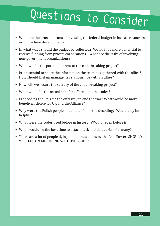# Questions to Consider

- What are the pros and cons of investing the federal budget in human resources or in machine development?
- In what ways should the budget be collected? Would it be more beneficial to receive funding from private corporations? What are the risks of involving non-government organizations?
- What will be the potential threat to the code-breaking project?
- Is it essential to share the information the team has gathered with the allies? How should Britain manage its relationships with its allies?
- How will we secure the secrecy of the code-breaking project?
- What would be the actual benefits of breaking the codes?
- Is decoding the Enigma the only way to end the war? What would be more beneficial choice for UK and the Alliance?
- Why were the Polish people not able to finish the decoding? Would they be helpful?
- What were the codes used before in history (WWI, or even before)?
- When would be the best time to attack back and defeat Nazi Germany?
- There are a lot of people dying due to the attacks by the Axis Power: SHOULD WE KEEP ON MEDDLING WITH THE CODE?